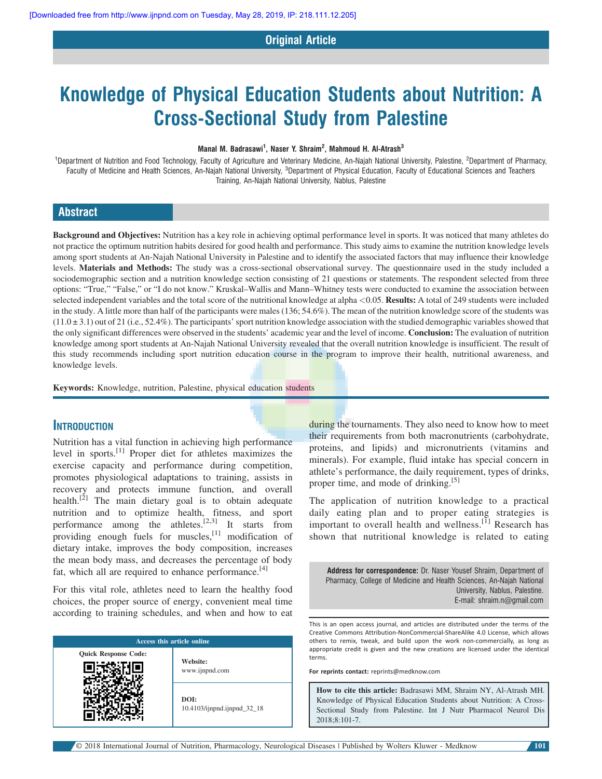### Original Article

# Knowledge of Physical Education Students about Nutrition: A Cross-Sectional Study from Palestine

#### Manal M. Badrasawi<sup>1</sup>, Naser Y. Shraim<sup>2</sup>, Mahmoud H. Al-Atrash<sup>3</sup>

<sup>1</sup>Department of Nutrition and Food Technology, Faculty of Agriculture and Veterinary Medicine, An-Najah National University, Palestine, <sup>2</sup>Department of Pharmacy, Faculty of Medicine and Health Sciences, An-Najah National University, <sup>3</sup>Department of Physical Education, Faculty of Educational Sciences and Teachers Training, An-Najah National University, Nablus, Palestine

# Abstract

Background and Objectives: Nutrition has a key role in achieving optimal performance level in sports. It was noticed that many athletes do not practice the optimum nutrition habits desired for good health and performance. This study aims to examine the nutrition knowledge levels among sport students at An-Najah National University in Palestine and to identify the associated factors that may influence their knowledge levels. Materials and Methods: The study was a cross-sectional observational survey. The questionnaire used in the study included a sociodemographic section and a nutrition knowledge section consisting of 21 questions or statements. The respondent selected from three options: "True," "False," or "I do not know." Kruskal–Wallis and Mann–Whitney tests were conducted to examine the association between selected independent variables and the total score of the nutritional knowledge at alpha <0.05. Results: A total of 249 students were included in the study. A little more than half of the participants were males (136; 54.6%). The mean of the nutrition knowledge score of the students was  $(11.0 \pm 3.1)$  out of 21 (i.e., 52.4%). The participants' sport nutrition knowledge association with the studied demographic variables showed that the only significant differences were observed in the students' academic year and the level of income. **Conclusion:** The evaluation of nutrition knowledge among sport students at An-Najah National University revealed that the overall nutrition knowledge is insufficient. The result of this study recommends including sport nutrition education course in the program to improve their health, nutritional awareness, and knowledge levels.

Keywords: Knowledge, nutrition, Palestine, physical education students

# **INTRODUCTION**

Nutrition has a vital function in achieving high performance level in sports.[1] Proper diet for athletes maximizes the exercise capacity and performance during competition, promotes physiological adaptations to training, assists in recovery and protects immune function, and overall health.<sup>[2]</sup> The main dietary goal is to obtain adequate nutrition and to optimize health, fitness, and sport performance among the athletes.<sup>[2,3]</sup> It starts from providing enough fuels for muscles, $^{[1]}$  modification of dietary intake, improves the body composition, increases the mean body mass, and decreases the percentage of body fat, which all are required to enhance performance.<sup>[4]</sup>

For this vital role, athletes need to learn the healthy food choices, the proper source of energy, convenient meal time according to training schedules, and when and how to eat

| Access this article online  |                                     |  |  |  |
|-----------------------------|-------------------------------------|--|--|--|
| <b>Quick Response Code:</b> | Website:<br>www.ijnpnd.com          |  |  |  |
|                             | DOI:<br>10.4103/ijnpnd.ijnpnd_32_18 |  |  |  |

during the tournaments. They also need to know how to meet their requirements from both macronutrients (carbohydrate, proteins, and lipids) and micronutrients (vitamins and minerals). For example, fluid intake has special concern in athlete's performance, the daily requirement, types of drinks, proper time, and mode of drinking. $[5]$ 

The application of nutrition knowledge to a practical daily eating plan and to proper eating strategies is important to overall health and wellness.<sup>[1]</sup> Research has shown that nutritional knowledge is related to eating

Address for correspondence: Dr. Naser Yousef Shraim, Department of Pharmacy, College of Medicine and Health Sciences, An-Najah National University, Nablus, Palestine. E-mail: [shraim.n@gmail.com](mailto:shraim.n@gmail.com)

This is an open access journal, and articles are distributed under the terms of the Creative Commons Attribution-NonCommercial-ShareAlike 4.0 License, which allows others to remix, tweak, and build upon the work non-commercially, as long as appropriate credit is given and the new creations are licensed under the identical terms.

For reprints contact: reprints@medknow.com

How to cite this article: Badrasawi MM, Shraim NY, Al-Atrash MH. Knowledge of Physical Education Students about Nutrition: A Cross-Sectional Study from Palestine. Int J Nutr Pharmacol Neurol Dis 2018;8:101-7.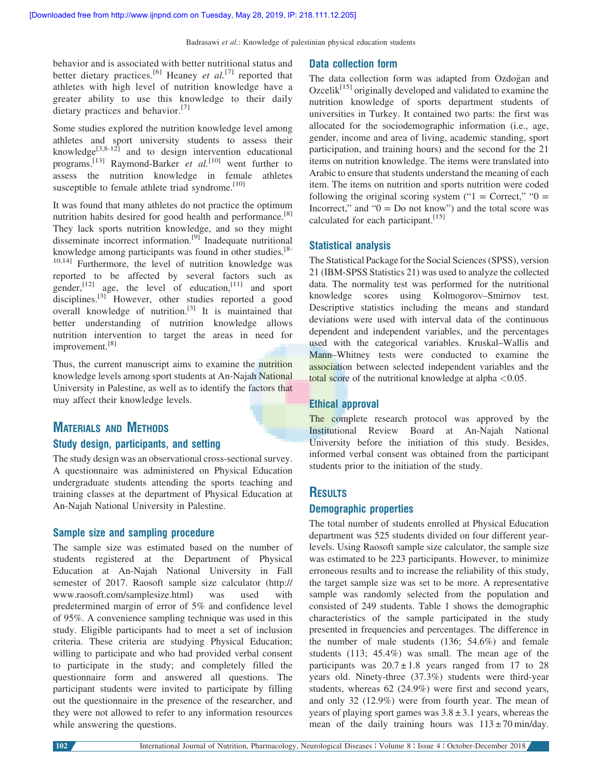behavior and is associated with better nutritional status and better dietary practices.<sup>[6]</sup> Heaney *et al.*<sup>[7]</sup> reported that athletes with high level of nutrition knowledge have a greater ability to use this knowledge to their daily dietary practices and behavior.<sup>[7]</sup>

Some studies explored the nutrition knowledge level among athletes and sport university students to assess their knowledge<sup>[3,8-12]</sup> and to design intervention educational programs.<sup>[13]</sup> Raymond-Barker *et al.*<sup>[10]</sup> went further to assess the nutrition knowledge in female athletes susceptible to female athlete triad syndrome.<sup>[10]</sup>

It was found that many athletes do not practice the optimum nutrition habits desired for good health and performance.<sup>[8]</sup> They lack sports nutrition knowledge, and so they might disseminate incorrect information.<sup>[9]</sup> Inadequate nutritional knowledge among participants was found in other studies.[8- 10,14] Furthermore, the level of nutrition knowledge was reported to be affected by several factors such as gender,<sup>[12]</sup> age, the level of education,<sup>[11]</sup> and sport disciplines.<sup>[3]</sup> However, other studies reported a good overall knowledge of nutrition.<sup>[3]</sup> It is maintained that better understanding of nutrition knowledge allows nutrition intervention to target the areas in need for improvement.[8]

Thus, the current manuscript aims to examine the nutrition knowledge levels among sport students at An-Najah National University in Palestine, as well as to identify the factors that may affect their knowledge levels.

# MATERIALS AND METHODS Study design, participants, and setting

The study design was an observational cross-sectional survey. A questionnaire was administered on Physical Education undergraduate students attending the sports teaching and training classes at the department of Physical Education at An-Najah National University in Palestine.

#### Sample size and sampling procedure

The sample size was estimated based on the number of students registered at the Department of Physical Education at An-Najah National University in Fall semester of 2017. Raosoft sample size calculator (http:// www.raosoft.com/samplesize.html) was used with predetermined margin of error of 5% and confidence level of 95%. A convenience sampling technique was used in this study. Eligible participants had to meet a set of inclusion criteria. These criteria are studying Physical Education; willing to participate and who had provided verbal consent to participate in the study; and completely filled the questionnaire form and answered all questions. The participant students were invited to participate by filling out the questionnaire in the presence of the researcher, and they were not allowed to refer to any information resources while answering the questions.

#### Data collection form

The data collection form was adapted from Ozdogan and Ozcelik<sup>[15]</sup> originally developed and validated to examine the nutrition knowledge of sports department students of universities in Turkey. It contained two parts: the first was allocated for the sociodemographic information (i.e., age, gender, income and area of living, academic standing, sport participation, and training hours) and the second for the 21 items on nutrition knowledge. The items were translated into Arabic to ensure that students understand the meaning of each item. The items on nutrition and sports nutrition were coded following the original scoring system (" $1 =$  Correct," " $0 =$ Incorrect," and " $0 = Do$  not know") and the total score was calculated for each participant.<sup>[15]</sup>

#### Statistical analysis

The Statistical Package for the Social Sciences (SPSS), version 21 (IBM-SPSS Statistics 21) was used to analyze the collected data. The normality test was performed for the nutritional knowledge scores using Kolmogorov–Smirnov test. Descriptive statistics including the means and standard deviations were used with interval data of the continuous dependent and independent variables, and the percentages used with the categorical variables. Kruskal–Wallis and Mann–Whitney tests were conducted to examine the association between selected independent variables and the total score of the nutritional knowledge at alpha  $< 0.05$ .

#### Ethical approval

The complete research protocol was approved by the Institutional Review Board at An-Najah National University before the initiation of this study. Besides, informed verbal consent was obtained from the participant students prior to the initiation of the study.

# **RESULTS**

#### Demographic properties

The total number of students enrolled at Physical Education department was 525 students divided on four different yearlevels. Using Raosoft sample size calculator, the sample size was estimated to be 223 participants. However, to minimize erroneous results and to increase the reliability of this study, the target sample size was set to be more. A representative sample was randomly selected from the population and consisted of 249 students. Table 1 shows the demographic characteristics of the sample participated in the study presented in frequencies and percentages. The difference in the number of male students (136; 54.6%) and female students (113; 45.4%) was small. The mean age of the participants was  $20.7 \pm 1.8$  years ranged from 17 to 28 years old. Ninety-three (37.3%) students were third-year students, whereas 62 (24.9%) were first and second years, and only 32 (12.9%) were from fourth year. The mean of years of playing sport games was  $3.8 \pm 3.1$  years, whereas the mean of the daily training hours was  $113 \pm 70$  min/day.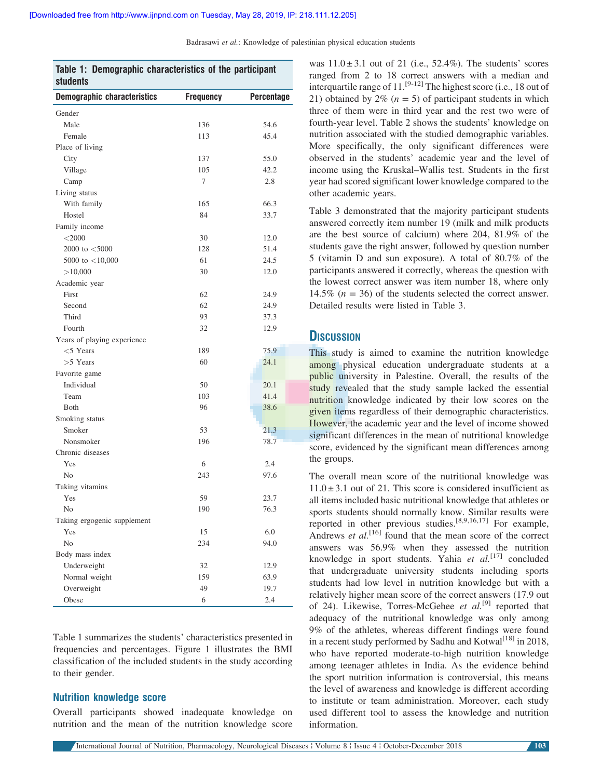| Table 1: Demographic characteristics of the participant<br><b>students</b> |                  |            |  |  |  |
|----------------------------------------------------------------------------|------------------|------------|--|--|--|
| <b>Demographic characteristics</b>                                         | <b>Frequency</b> | Percentage |  |  |  |
| Gender                                                                     |                  |            |  |  |  |
| Male                                                                       | 136              | 54.6       |  |  |  |
| Female                                                                     | 113              | 45.4       |  |  |  |
| Place of living                                                            |                  |            |  |  |  |
| City                                                                       | 137              | 55.0       |  |  |  |
| Village                                                                    | 105              | 42.2       |  |  |  |
| Camp                                                                       | 7                | 2.8        |  |  |  |
| Living status                                                              |                  |            |  |  |  |
| With family                                                                | 165              | 66.3       |  |  |  |
| Hostel                                                                     | 84               | 33.7       |  |  |  |
| Family income                                                              |                  |            |  |  |  |
| $<$ 2000                                                                   | 30               | 12.0       |  |  |  |
| 2000 to $<$ 5000                                                           | 128              | 51.4       |  |  |  |
| 5000 to $<$ 10,000                                                         | 61               | 24.5       |  |  |  |
| >10,000                                                                    | 30               | 12.0       |  |  |  |
| Academic year                                                              |                  |            |  |  |  |
| First                                                                      | 62               | 24.9       |  |  |  |
| Second                                                                     | 62               | 24.9       |  |  |  |
| Third                                                                      | 93               | 37.3       |  |  |  |
| Fourth                                                                     | 32               | 12.9       |  |  |  |
| Years of playing experience                                                |                  |            |  |  |  |
| $<$ 5 Years                                                                | 189              | 75.9       |  |  |  |
| $>5$ Years                                                                 | 60               | 24.1       |  |  |  |
| Favorite game                                                              |                  |            |  |  |  |
| Individual                                                                 | 50               | 20.1       |  |  |  |
| Team                                                                       | 103              | 41.4       |  |  |  |
| Both                                                                       | 96               | 38.6       |  |  |  |
| Smoking status                                                             |                  |            |  |  |  |
| Smoker                                                                     | 53               | 21.3       |  |  |  |
| Nonsmoker                                                                  | 196              | 78.7       |  |  |  |
| Chronic diseases                                                           |                  |            |  |  |  |
| Yes                                                                        | 6                | 2.4        |  |  |  |
| N <sub>0</sub>                                                             | 243              | 97.6       |  |  |  |
| Taking vitamins                                                            |                  |            |  |  |  |
| Yes                                                                        | 59               | 23.7       |  |  |  |
| No                                                                         | 190              | 76.3       |  |  |  |
| Taking ergogenic supplement                                                |                  |            |  |  |  |
| Yes                                                                        | 15               | 6.0        |  |  |  |
| No                                                                         | 234              | 94.0       |  |  |  |
| Body mass index                                                            |                  |            |  |  |  |
| Underweight                                                                | 32               | 12.9       |  |  |  |
| Normal weight                                                              | 159              | 63.9       |  |  |  |
| Overweight                                                                 | 49               | 19.7       |  |  |  |
| Obese                                                                      | 6                | 2.4        |  |  |  |

Table 1 summarizes the students' characteristics presented in frequencies and percentages. Figure 1 illustrates the BMI classification of the included students in the study according to their gender.

#### Nutrition knowledge score

Overall participants showed inadequate knowledge on nutrition and the mean of the nutrition knowledge score was  $11.0 \pm 3.1$  out of 21 (i.e., 52.4%). The students' scores ranged from 2 to 18 correct answers with a median and interquartile range of  $11.^{[9-12]}$  The highest score (i.e., 18 out of 21) obtained by 2% ( $n = 5$ ) of participant students in which three of them were in third year and the rest two were of fourth-year level. Table 2 shows the students' knowledge on nutrition associated with the studied demographic variables. More specifically, the only significant differences were observed in the students' academic year and the level of income using the Kruskal–Wallis test. Students in the first year had scored significant lower knowledge compared to the other academic years.

Table 3 demonstrated that the majority participant students answered correctly item number 19 (milk and milk products are the best source of calcium) where 204, 81.9% of the students gave the right answer, followed by question number 5 (vitamin D and sun exposure). A total of 80.7% of the participants answered it correctly, whereas the question with the lowest correct answer was item number 18, where only 14.5% ( $n = 36$ ) of the students selected the correct answer. Detailed results were listed in Table 3.

# **DISCUSSION**

This study is aimed to examine the nutrition knowledge among physical education undergraduate students at a public university in Palestine. Overall, the results of the study revealed that the study sample lacked the essential nutrition knowledge indicated by their low scores on the given items regardless of their demographic characteristics. However, the academic year and the level of income showed significant differences in the mean of nutritional knowledge score, evidenced by the significant mean differences among the groups.

The overall mean score of the nutritional knowledge was  $11.0 \pm 3.1$  out of 21. This score is considered insufficient as all items included basic nutritional knowledge that athletes or sports students should normally know. Similar results were reported in other previous studies.[8,9,16,17] For example, Andrews *et al.*<sup>[16]</sup> found that the mean score of the correct answers was 56.9% when they assessed the nutrition knowledge in sport students. Yahia et  $al$ <sup>[17]</sup> concluded that undergraduate university students including sports students had low level in nutrition knowledge but with a relatively higher mean score of the correct answers (17.9 out of 24). Likewise, Torres-McGehee et  $al.^{[9]}$  reported that adequacy of the nutritional knowledge was only among 9% of the athletes, whereas different findings were found in a recent study performed by Sadhu and Kotwal<sup>[18]</sup> in 2018, who have reported moderate-to-high nutrition knowledge among teenager athletes in India. As the evidence behind the sport nutrition information is controversial, this means the level of awareness and knowledge is different according to institute or team administration. Moreover, each study used different tool to assess the knowledge and nutrition information.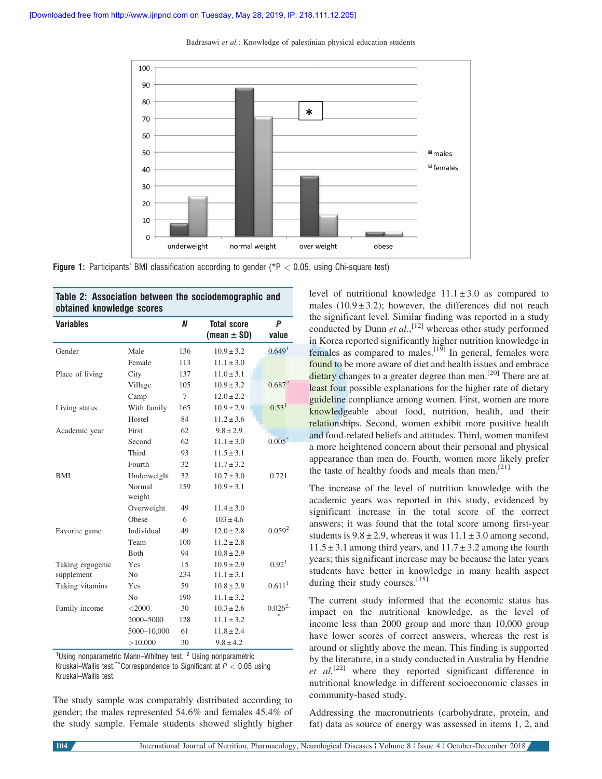

**Figure 1:** Participants' BMI classification according to gender ( $P < 0.05$ , using Chi-square test)

| Table 2. Association between the socioueningraphic and<br>obtained knowledge scores |        |                                       |                    |  |  |  |
|-------------------------------------------------------------------------------------|--------|---------------------------------------|--------------------|--|--|--|
|                                                                                     | N      | <b>Total score</b><br>(mean $\pm$ SD) | P<br>value         |  |  |  |
| Male                                                                                | 136    | $10.9 \pm 3.2$                        | 0.649 <sup>1</sup> |  |  |  |
| Female                                                                              | 113    | $11.1 \pm 3.0$                        |                    |  |  |  |
| City                                                                                | 137    | $11.0 \pm 3.1$                        |                    |  |  |  |
| Village                                                                             | 105    | $10.9 \pm 3.2$                        | $0.687^2$          |  |  |  |
| Camp                                                                                | $\tau$ | $12.0 \pm 2.2$                        |                    |  |  |  |
| With family                                                                         | 165    | $10.9 \pm 2.9$                        | 0.53 <sup>1</sup>  |  |  |  |
| Hostel                                                                              | 84     | $11.2 \pm 3.6$                        |                    |  |  |  |
| First                                                                               | 62     | $9.8 \pm 2.9$                         |                    |  |  |  |
| Second                                                                              | 62     | $11.1 \pm 3.0$                        | $0.005*$           |  |  |  |
| Third                                                                               | 93     | $11.5 \pm 3.1$                        |                    |  |  |  |
| Fourth                                                                              | 32     | $11.7 \pm 3.2$                        |                    |  |  |  |
| Underweight                                                                         | 32     | $10.7 \pm 3.0$                        | 0.721              |  |  |  |
| Normal<br>weight                                                                    | 159    | $10.9 \pm 3.1$                        |                    |  |  |  |
| Overweight                                                                          | 49     | $11.4 \pm 3.0$                        |                    |  |  |  |
| Obese                                                                               | 6      | $103 \pm 4.6$                         |                    |  |  |  |
| Individual                                                                          | 49     | $12.0 \pm 2.8$                        | 0.059 <sup>2</sup> |  |  |  |
| Team                                                                                | 100    | $11.2 \pm 2.8$                        |                    |  |  |  |
| Both                                                                                | 94     | $10.8 \pm 2.9$                        |                    |  |  |  |
| Yes                                                                                 | 15     | $10.9 \pm 2.9$                        | 0.92 <sup>1</sup>  |  |  |  |
| N <sub>o</sub>                                                                      | 234    | $11.1 \pm 3.1$                        |                    |  |  |  |
| Yes                                                                                 | 59     | $10.8 \pm 2.9$                        | 0.611 <sup>1</sup> |  |  |  |
| N <sub>0</sub>                                                                      | 190    | $11.1 \pm 3.2$                        |                    |  |  |  |
| $<$ 2000                                                                            | 30     | $10.3 \pm 2.6$                        | $0.026^{2}$        |  |  |  |
| 2000-5000                                                                           | 128    | $11.1 \pm 3.2$                        |                    |  |  |  |
| 5000-10,000                                                                         | 61     | $11.8 \pm 2.4$                        |                    |  |  |  |
| >10,000                                                                             | 30     | $9.8 \pm 4.2$                         |                    |  |  |  |
|                                                                                     |        |                                       |                    |  |  |  |

Table 2: Association between the

<sup>1</sup>Using nonparametric Mann–Whitney test. <sup>2</sup> Using nonparametric Kruskal–Wallis test.\*\*Correspondence to Significant at  $P < 0.05$  using Kruskal–Wallis test.

The study sample was comparably distributed according to gender; the males represented 54.6% and females 45.4% of the study sample. Female students showed slightly higher

level of nutritional knowledge  $11.1 \pm 3.0$  as compared to males  $(10.9 \pm 3.2)$ ; however, the differences did not reach the significant level. Similar finding was reported in a study conducted by Dunn et  $al$ ,  $^{[12]}$  whereas other study performed in Korea reported significantly higher nutrition knowledge in females as compared to males.<sup>[19]</sup> In general, females were found to be more aware of diet and health issues and embrace dietary changes to a greater degree than men.<sup>[20]</sup> There are at least four possible explanations for the higher rate of dietary guideline compliance among women. First, women are more knowledgeable about food, nutrition, health, and their relationships. Second, women exhibit more positive health and food-related beliefs and attitudes. Third, women manifest a more heightened concern about their personal and physical appearance than men do. Fourth, women more likely prefer the taste of healthy foods and meals than men.<sup>[21]</sup>

The increase of the level of nutrition knowledge with the academic years was reported in this study, evidenced by significant increase in the total score of the correct answers; it was found that the total score among first-year students is  $9.8 \pm 2.9$ , whereas it was  $11.1 \pm 3.0$  among second,  $11.5 \pm 3.1$  among third years, and  $11.7 \pm 3.2$  among the fourth years; this significant increase may be because the later years students have better in knowledge in many health aspect during their study courses.<sup>[15]</sup>

The current study informed that the economic status has impact on the nutritional knowledge, as the level of income less than 2000 group and more than 10,000 group have lower scores of correct answers, whereas the rest is around or slightly above the mean. This finding is supported by the literature, in a study conducted in Australia by Hendrie et  $al$ <sup>[22]</sup> where they reported significant difference in nutritional knowledge in different socioeconomic classes in community-based study.

Addressing the macronutrients (carbohydrate, protein, and fat) data as source of energy was assessed in items 1, 2, and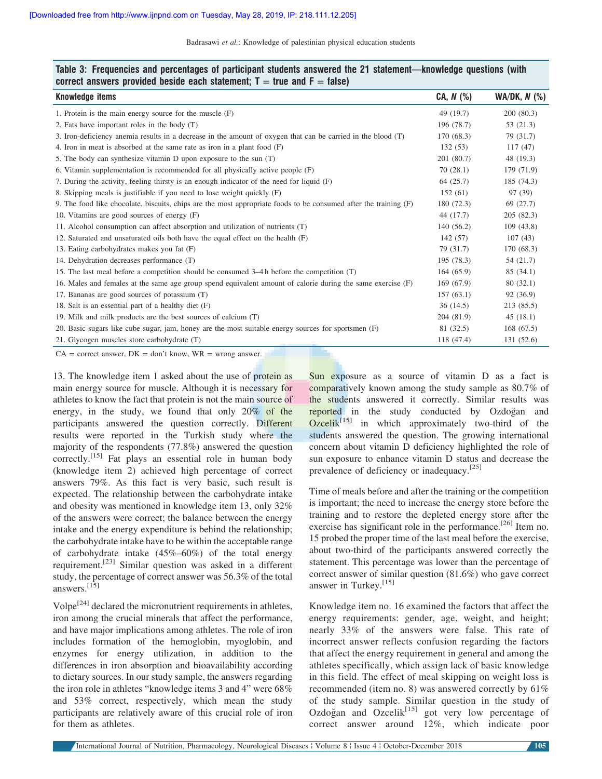| <b>Knowledge items</b>                                                                                           | $CA, N$ $(\%)$ | $WA/DK, N$ (%) |
|------------------------------------------------------------------------------------------------------------------|----------------|----------------|
| 1. Protein is the main energy source for the muscle $(F)$                                                        | 49 (19.7)      | 200(80.3)      |
| 2. Fats have important roles in the body (T)                                                                     | 196 (78.7)     | 53(21.3)       |
| 3. Iron-deficiency anemia results in a decrease in the amount of oxygen that can be carried in the blood (T)     | 170 (68.3)     | 79 (31.7)      |
| 4. Iron in meat is absorbed at the same rate as iron in a plant food $(F)$                                       | 132(53)        | 117(47)        |
| 5. The body can synthesize vitamin D upon exposure to the sun (T)                                                | 201 (80.7)     | 48 (19.3)      |
| 6. Vitamin supplementation is recommended for all physically active people (F)                                   | 70(28.1)       | 179 (71.9)     |
| 7. During the activity, feeling thirsty is an enough indicator of the need for liquid (F)                        | 64(25.7)       | 185 (74.3)     |
| 8. Skipping meals is justifiable if you need to lose weight quickly (F)                                          | 152(61)        | 97 (39)        |
| 9. The food like chocolate, biscuits, chips are the most appropriate foods to be consumed after the training (F) | 180(72.3)      | 69 (27.7)      |
| 10. Vitamins are good sources of energy (F)                                                                      | 44 (17.7)      | 205(82.3)      |
| 11. Alcohol consumption can affect absorption and utilization of nutrients (T)                                   | 140 (56.2)     | 109(43.8)      |
| 12. Saturated and unsaturated oils both have the equal effect on the health (F)                                  | 142(57)        | 107(43)        |
| 13. Eating carbohydrates makes you fat (F)                                                                       | 79 (31.7)      | 170(68.3)      |
| 14. Dehydration decreases performance (T)                                                                        | 195(78.3)      | 54 (21.7)      |
| 15. The last meal before a competition should be consumed 3–4 h before the competition (T)                       | 164(65.9)      | 85(34.1)       |
| 16. Males and females at the same age group spend equivalent amount of calorie during the same exercise (F)      | 169(67.9)      | 80(32.1)       |
| 17. Bananas are good sources of potassium (T)                                                                    | 157(63.1)      | 92 (36.9)      |
| 18. Salt is an essential part of a healthy diet $(F)$                                                            | 36(14.5)       | 213 (85.5)     |
| 19. Milk and milk products are the best sources of calcium (T)                                                   | 204 (81.9)     | 45(18.1)       |
| 20. Basic sugars like cube sugar, jam, honey are the most suitable energy sources for sportsmen (F)              | 81 (32.5)      | 168(67.5)      |
| 21. Glycogen muscles store carbohydrate (T)                                                                      | 118 (47.4)     | 131 (52.6)     |
| $CA = correct answer$ . $DK = don't know$ . $WR = wrong answer$ .                                                |                |                |

Table 3: Frequencies and percentages of participant students answered the 21 statement—knowledge questions (with correct answers provided beside each statement;  $T = true$  and  $F = false$ )

13. The knowledge item 1 asked about the use of protein as main energy source for muscle. Although it is necessary for athletes to know the fact that protein is not the main source of energy, in the study, we found that only  $20\%$  of the participants answered the question correctly. Different results were reported in the Turkish study where the majority of the respondents (77.8%) answered the question correctly.<sup>[15]</sup> Fat plays an essential role in human body (knowledge item 2) achieved high percentage of correct answers 79%. As this fact is very basic, such result is expected. The relationship between the carbohydrate intake and obesity was mentioned in knowledge item 13, only 32% of the answers were correct; the balance between the energy intake and the energy expenditure is behind the relationship; the carbohydrate intake have to be within the acceptable range of carbohydrate intake  $(45\% - 60\%)$  of the total energy requirement.[23] Similar question was asked in a different study, the percentage of correct answer was 56.3% of the total answers.[15]

 $\text{Volpe}^{[24]}$  declared the micronutrient requirements in athletes, iron among the crucial minerals that affect the performance, and have major implications among athletes. The role of iron includes formation of the hemoglobin, myoglobin, and enzymes for energy utilization, in addition to the differences in iron absorption and bioavailability according to dietary sources. In our study sample, the answers regarding the iron role in athletes "knowledge items 3 and 4" were 68% and 53% correct, respectively, which mean the study participants are relatively aware of this crucial role of iron for them as athletes.

Sun exposure as a source of vitamin D as a fact is comparatively known among the study sample as 80.7% of the students answered it correctly. Similar results was reported in the study conducted by Ozdogan and  $Ozcelik<sup>[15]</sup>$  in which approximately two-third of the students answered the question. The growing international concern about vitamin D deficiency highlighted the role of sun exposure to enhance vitamin D status and decrease the prevalence of deficiency or inadequacy.[25]

Time of meals before and after the training or the competition is important; the need to increase the energy store before the training and to restore the depleted energy store after the exercise has significant role in the performance.<sup>[26]</sup> Item no. 15 probed the proper time of the last meal before the exercise, about two-third of the participants answered correctly the statement. This percentage was lower than the percentage of correct answer of similar question (81.6%) who gave correct answer in Turkey.[15]

Knowledge item no. 16 examined the factors that affect the energy requirements: gender, age, weight, and height; nearly 33% of the answers were false. This rate of incorrect answer reflects confusion regarding the factors that affect the energy requirement in general and among the athletes specifically, which assign lack of basic knowledge in this field. The effect of meal skipping on weight loss is recommended (item no. 8) was answered correctly by 61% of the study sample. Similar question in the study of Ozdoğan and Ozcelik<sup>[15]</sup> got very low percentage of correct answer around 12%, which indicate poor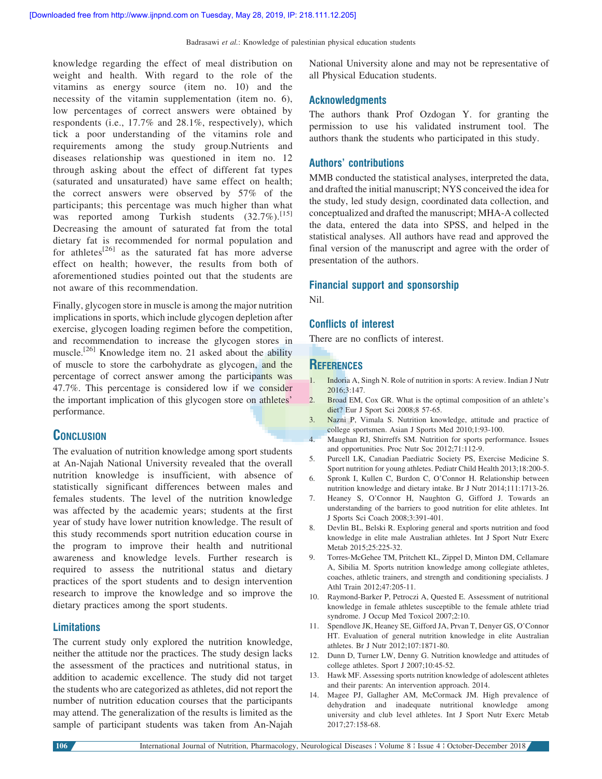knowledge regarding the effect of meal distribution on weight and health. With regard to the role of the vitamins as energy source (item no. 10) and the necessity of the vitamin supplementation (item no. 6), low percentages of correct answers were obtained by respondents (i.e., 17.7% and 28.1%, respectively), which tick a poor understanding of the vitamins role and requirements among the study group.Nutrients and diseases relationship was questioned in item no. 12 through asking about the effect of different fat types (saturated and unsaturated) have same effect on health; the correct answers were observed by 57% of the participants; this percentage was much higher than what was reported among Turkish students  $(32.7\%)$ .<sup>[15]</sup> Decreasing the amount of saturated fat from the total dietary fat is recommended for normal population and for athletes<sup>[26]</sup> as the saturated fat has more adverse effect on health; however, the results from both of aforementioned studies pointed out that the students are not aware of this recommendation.

Finally, glycogen store in muscle is among the major nutrition implications in sports, which include glycogen depletion after exercise, glycogen loading regimen before the competition, and recommendation to increase the glycogen stores in muscle.<sup>[26]</sup> Knowledge item no. 21 asked about the ability of muscle to store the carbohydrate as glycogen, and the percentage of correct answer among the participants was 47.7%. This percentage is considered low if we consider the important implication of this glycogen store on athletes' performance.

# **CONCLUSION**

The evaluation of nutrition knowledge among sport students at An-Najah National University revealed that the overall nutrition knowledge is insufficient, with absence of statistically significant differences between males and females students. The level of the nutrition knowledge was affected by the academic years; students at the first year of study have lower nutrition knowledge. The result of this study recommends sport nutrition education course in the program to improve their health and nutritional awareness and knowledge levels. Further research is required to assess the nutritional status and dietary practices of the sport students and to design intervention research to improve the knowledge and so improve the dietary practices among the sport students.

# **Limitations**

The current study only explored the nutrition knowledge, neither the attitude nor the practices. The study design lacks the assessment of the practices and nutritional status, in addition to academic excellence. The study did not target the students who are categorized as athletes, did not report the number of nutrition education courses that the participants may attend. The generalization of the results is limited as the sample of participant students was taken from An-Najah

National University alone and may not be representative of all Physical Education students.

#### Acknowledgments

The authors thank Prof Ozdogan Y. for granting the permission to use his validated instrument tool. The authors thank the students who participated in this study.

#### Authors' contributions

MMB conducted the statistical analyses, interpreted the data, and drafted the initial manuscript; NYS conceived the idea for the study, led study design, coordinated data collection, and conceptualized and drafted the manuscript; MHA-A collected the data, entered the data into SPSS, and helped in the statistical analyses. All authors have read and approved the final version of the manuscript and agree with the order of presentation of the authors.

#### Financial support and sponsorship

Nil.

#### Conflicts of interest

There are no conflicts of interest.

# **REFERENCES**

- 1. Indoria A, Singh N. Role of nutrition in sports: A review. Indian J Nutr 2016;3:147.
- 2. Broad EM, Cox GR. What is the optimal composition of an athlete's diet? Eur J Sport Sci 2008;8 57-65.
- 3. Nazni P, Vimala S. Nutrition knowledge, attitude and practice of college sportsmen. Asian J Sports Med 2010;1:93-100.
- 4. Maughan RJ, Shirreffs SM. Nutrition for sports performance. Issues and opportunities. Proc Nutr Soc 2012;71:112-9.
- 5. Purcell LK, Canadian Paediatric Society PS, Exercise Medicine S. Sport nutrition for young athletes. Pediatr Child Health 2013;18:200-5.
- 6. Spronk I, Kullen C, Burdon C, O'Connor H. Relationship between nutrition knowledge and dietary intake. Br J Nutr 2014;111:1713-26.
- 7. Heaney S, O'Connor H, Naughton G, Gifford J. Towards an understanding of the barriers to good nutrition for elite athletes. Int J Sports Sci Coach 2008;3:391-401.
- 8. Devlin BL, Belski R. Exploring general and sports nutrition and food knowledge in elite male Australian athletes. Int J Sport Nutr Exerc Metab 2015;25:225-32.
- 9. Torres-McGehee TM, Pritchett KL, Zippel D, Minton DM, Cellamare A, Sibilia M. Sports nutrition knowledge among collegiate athletes, coaches, athletic trainers, and strength and conditioning specialists. J Athl Train 2012;47:205-11.
- 10. Raymond-Barker P, Petroczi A, Quested E. Assessment of nutritional knowledge in female athletes susceptible to the female athlete triad syndrome. J Occup Med Toxicol 2007;2:10.
- 11. Spendlove JK, Heaney SE, Gifford JA, Prvan T, Denyer GS, O'Connor HT. Evaluation of general nutrition knowledge in elite Australian athletes. Br J Nutr 2012;107:1871-80.
- 12. Dunn D, Turner LW, Denny G. Nutrition knowledge and attitudes of college athletes. Sport J 2007;10:45-52.
- 13. Hawk MF. Assessing sports nutrition knowledge of adolescent athletes and their parents: An intervention approach. 2014.
- 14. Magee PJ, Gallagher AM, McCormack JM. High prevalence of dehydration and inadequate nutritional knowledge among university and club level athletes. Int J Sport Nutr Exerc Metab 2017;27:158-68.